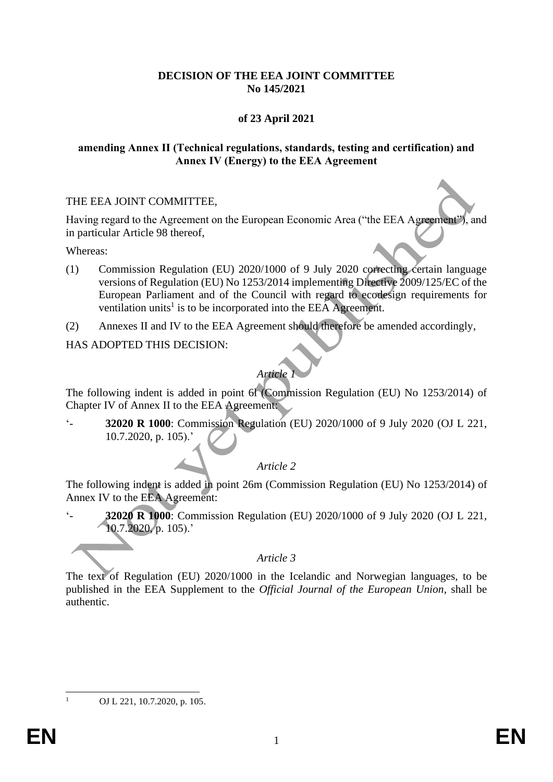#### **DECISION OF THE EEA JOINT COMMITTEE No 145/2021**

## **of 23 April 2021**

#### **amending Annex II (Technical regulations, standards, testing and certification) and Annex IV (Energy) to the EEA Agreement**

#### THE EEA JOINT COMMITTEE,

Having regard to the Agreement on the European Economic Area ("the EEA Agreement"), and in particular Article 98 thereof,

Whereas:

- (1) Commission Regulation (EU) 2020/1000 of 9 July 2020 correcting certain language versions of Regulation (EU) No 1253/2014 implementing Directive 2009/125/EC of the European Parliament and of the Council with regard to ecodesign requirements for ventilation units<sup>1</sup> is to be incorporated into the EEA Agreement.
- (2) Annexes II and IV to the EEA Agreement should therefore be amended accordingly,

HAS ADOPTED THIS DECISION:

# *Article 1*

The following indent is added in point 6l (Commission Regulation (EU) No 1253/2014) of Chapter IV of Annex II to the EEA Agreement:

'- **32020 R 1000**: Commission Regulation (EU) 2020/1000 of 9 July 2020 (OJ L 221, 10.7.2020, p. 105).'

### *Article 2*

The following indent is added in point 26m (Commission Regulation (EU) No 1253/2014) of Annex IV to the EEA Agreement:

**32020 R 1000**: Commission Regulation (EU) 2020/1000 of 9 July 2020 (OJ L 221,  $10.7.2020$ , p. 105).'

*Article 3*

The text of Regulation (EU) 2020/1000 in the Icelandic and Norwegian languages, to be published in the EEA Supplement to the *Official Journal of the European Union*, shall be authentic.

OJ L 221, 10.7.2020, p. 105.